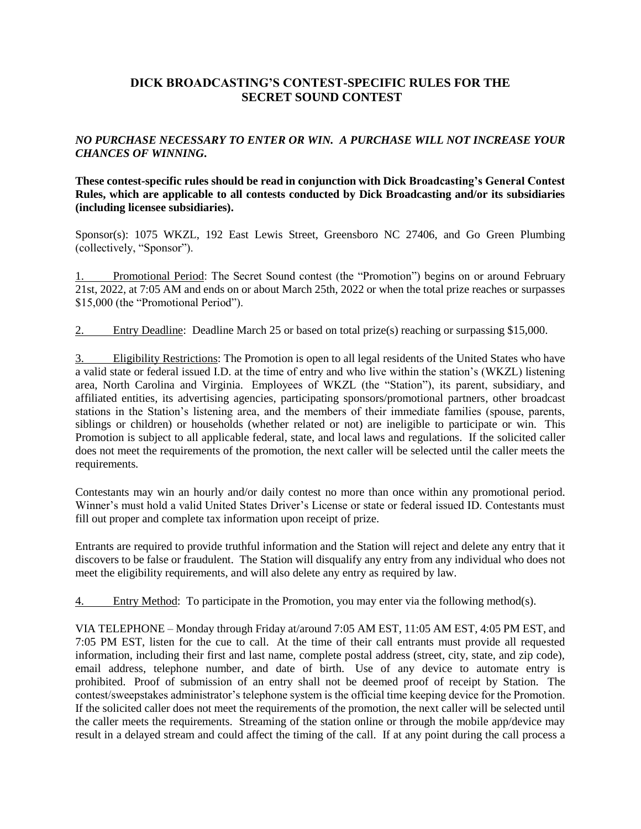# **DICK BROADCASTING'S CONTEST-SPECIFIC RULES FOR THE SECRET SOUND CONTEST**

# *NO PURCHASE NECESSARY TO ENTER OR WIN. A PURCHASE WILL NOT INCREASE YOUR CHANCES OF WINNING***.**

**These contest-specific rules should be read in conjunction with Dick Broadcasting's General Contest Rules, which are applicable to all contests conducted by Dick Broadcasting and/or its subsidiaries (including licensee subsidiaries).** 

Sponsor(s): 1075 WKZL, 192 East Lewis Street, Greensboro NC 27406, and Go Green Plumbing (collectively, "Sponsor").

1. Promotional Period: The Secret Sound contest (the "Promotion") begins on or around February 21st, 2022, at 7:05 AM and ends on or about March 25th, 2022 or when the total prize reaches or surpasses \$15,000 (the "Promotional Period").

2. Entry Deadline: Deadline March 25 or based on total prize(s) reaching or surpassing \$15,000.

3. Eligibility Restrictions: The Promotion is open to all legal residents of the United States who have a valid state or federal issued I.D. at the time of entry and who live within the station's (WKZL) listening area, North Carolina and Virginia. Employees of WKZL (the "Station"), its parent, subsidiary, and affiliated entities, its advertising agencies, participating sponsors/promotional partners, other broadcast stations in the Station's listening area, and the members of their immediate families (spouse, parents, siblings or children) or households (whether related or not) are ineligible to participate or win. This Promotion is subject to all applicable federal, state, and local laws and regulations. If the solicited caller does not meet the requirements of the promotion, the next caller will be selected until the caller meets the requirements.

Contestants may win an hourly and/or daily contest no more than once within any promotional period. Winner's must hold a valid United States Driver's License or state or federal issued ID. Contestants must fill out proper and complete tax information upon receipt of prize.

Entrants are required to provide truthful information and the Station will reject and delete any entry that it discovers to be false or fraudulent. The Station will disqualify any entry from any individual who does not meet the eligibility requirements, and will also delete any entry as required by law.

4. Entry Method: To participate in the Promotion, you may enter via the following method(s).

VIA TELEPHONE – Monday through Friday at/around 7:05 AM EST, 11:05 AM EST, 4:05 PM EST, and 7:05 PM EST, listen for the cue to call. At the time of their call entrants must provide all requested information, including their first and last name, complete postal address (street, city, state, and zip code), email address, telephone number, and date of birth. Use of any device to automate entry is prohibited. Proof of submission of an entry shall not be deemed proof of receipt by Station. The contest/sweepstakes administrator's telephone system is the official time keeping device for the Promotion. If the solicited caller does not meet the requirements of the promotion, the next caller will be selected until the caller meets the requirements. Streaming of the station online or through the mobile app/device may result in a delayed stream and could affect the timing of the call. If at any point during the call process a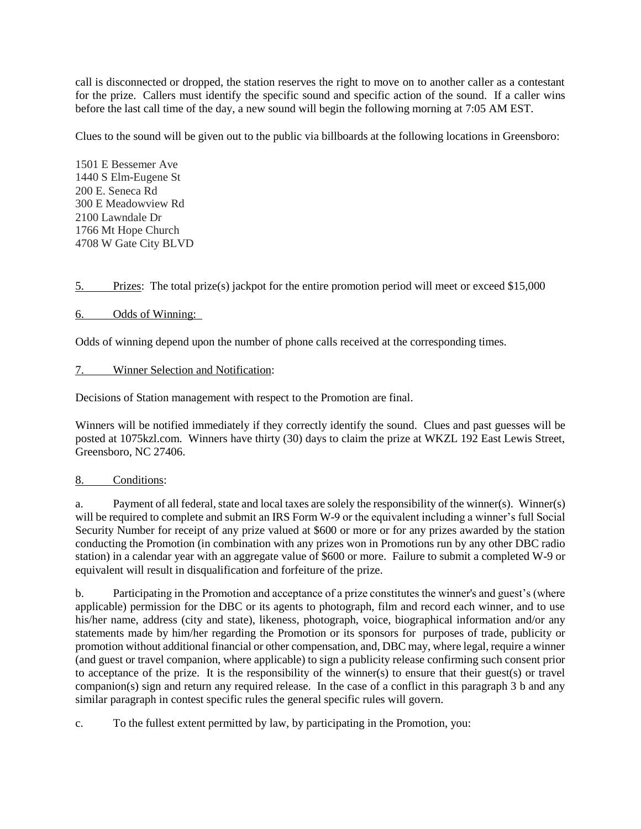call is disconnected or dropped, the station reserves the right to move on to another caller as a contestant for the prize. Callers must identify the specific sound and specific action of the sound. If a caller wins before the last call time of the day, a new sound will begin the following morning at 7:05 AM EST.

Clues to the sound will be given out to the public via billboards at the following locations in Greensboro:

1501 E Bessemer Ave 1440 S Elm-Eugene St 200 E. Seneca Rd 300 E Meadowview Rd 2100 Lawndale Dr 1766 Mt Hope Church 4708 W Gate City BLVD

5. Prizes: The total prize(s) jackpot for the entire promotion period will meet or exceed \$15,000

# 6. Odds of Winning:

Odds of winning depend upon the number of phone calls received at the corresponding times.

### 7. Winner Selection and Notification:

Decisions of Station management with respect to the Promotion are final.

Winners will be notified immediately if they correctly identify the sound. Clues and past guesses will be posted at 1075kzl.com. Winners have thirty (30) days to claim the prize at WKZL 192 East Lewis Street, Greensboro, NC 27406.

### 8. Conditions:

a. Payment of all federal, state and local taxes are solely the responsibility of the winner(s). Winner(s) will be required to complete and submit an IRS Form W-9 or the equivalent including a winner's full Social Security Number for receipt of any prize valued at \$600 or more or for any prizes awarded by the station conducting the Promotion (in combination with any prizes won in Promotions run by any other DBC radio station) in a calendar year with an aggregate value of \$600 or more. Failure to submit a completed W-9 or equivalent will result in disqualification and forfeiture of the prize.

b. Participating in the Promotion and acceptance of a prize constitutes the winner's and guest's (where applicable) permission for the DBC or its agents to photograph, film and record each winner, and to use his/her name, address (city and state), likeness, photograph, voice, biographical information and/or any statements made by him/her regarding the Promotion or its sponsors for purposes of trade, publicity or promotion without additional financial or other compensation, and, DBC may, where legal, require a winner (and guest or travel companion, where applicable) to sign a publicity release confirming such consent prior to acceptance of the prize. It is the responsibility of the winner(s) to ensure that their guest(s) or travel companion(s) sign and return any required release. In the case of a conflict in this paragraph 3 b and any similar paragraph in contest specific rules the general specific rules will govern.

c. To the fullest extent permitted by law, by participating in the Promotion, you: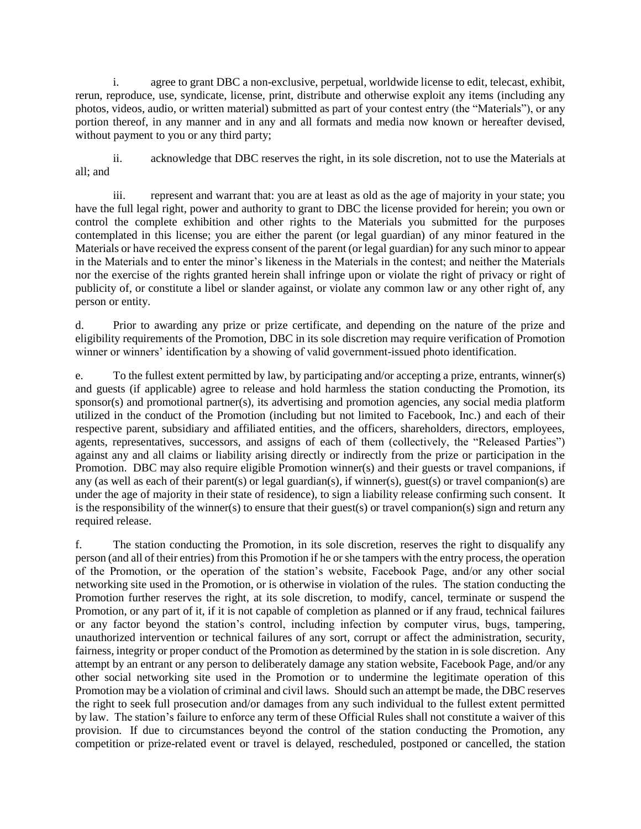i. agree to grant DBC a non-exclusive, perpetual, worldwide license to edit, telecast, exhibit, rerun, reproduce, use, syndicate, license, print, distribute and otherwise exploit any items (including any photos, videos, audio, or written material) submitted as part of your contest entry (the "Materials"), or any portion thereof, in any manner and in any and all formats and media now known or hereafter devised, without payment to you or any third party;

ii. acknowledge that DBC reserves the right, in its sole discretion, not to use the Materials at all; and

iii. represent and warrant that: you are at least as old as the age of majority in your state; you have the full legal right, power and authority to grant to DBC the license provided for herein; you own or control the complete exhibition and other rights to the Materials you submitted for the purposes contemplated in this license; you are either the parent (or legal guardian) of any minor featured in the Materials or have received the express consent of the parent (or legal guardian) for any such minor to appear in the Materials and to enter the minor's likeness in the Materials in the contest; and neither the Materials nor the exercise of the rights granted herein shall infringe upon or violate the right of privacy or right of publicity of, or constitute a libel or slander against, or violate any common law or any other right of, any person or entity.

d. Prior to awarding any prize or prize certificate, and depending on the nature of the prize and eligibility requirements of the Promotion, DBC in its sole discretion may require verification of Promotion winner or winners' identification by a showing of valid government-issued photo identification.

e. To the fullest extent permitted by law, by participating and/or accepting a prize, entrants, winner(s) and guests (if applicable) agree to release and hold harmless the station conducting the Promotion, its sponsor(s) and promotional partner(s), its advertising and promotion agencies, any social media platform utilized in the conduct of the Promotion (including but not limited to Facebook, Inc.) and each of their respective parent, subsidiary and affiliated entities, and the officers, shareholders, directors, employees, agents, representatives, successors, and assigns of each of them (collectively, the "Released Parties") against any and all claims or liability arising directly or indirectly from the prize or participation in the Promotion. DBC may also require eligible Promotion winner(s) and their guests or travel companions, if any (as well as each of their parent(s) or legal guardian(s), if winner(s), guest(s) or travel companion(s) are under the age of majority in their state of residence), to sign a liability release confirming such consent. It is the responsibility of the winner(s) to ensure that their guest(s) or travel companion(s) sign and return any required release.

f. The station conducting the Promotion, in its sole discretion, reserves the right to disqualify any person (and all of their entries) from this Promotion if he or she tampers with the entry process, the operation of the Promotion, or the operation of the station's website, Facebook Page, and/or any other social networking site used in the Promotion, or is otherwise in violation of the rules. The station conducting the Promotion further reserves the right, at its sole discretion, to modify, cancel, terminate or suspend the Promotion, or any part of it, if it is not capable of completion as planned or if any fraud, technical failures or any factor beyond the station's control, including infection by computer virus, bugs, tampering, unauthorized intervention or technical failures of any sort, corrupt or affect the administration, security, fairness, integrity or proper conduct of the Promotion as determined by the station in is sole discretion. Any attempt by an entrant or any person to deliberately damage any station website, Facebook Page, and/or any other social networking site used in the Promotion or to undermine the legitimate operation of this Promotion may be a violation of criminal and civil laws. Should such an attempt be made, the DBC reserves the right to seek full prosecution and/or damages from any such individual to the fullest extent permitted by law. The station's failure to enforce any term of these Official Rules shall not constitute a waiver of this provision. If due to circumstances beyond the control of the station conducting the Promotion, any competition or prize-related event or travel is delayed, rescheduled, postponed or cancelled, the station